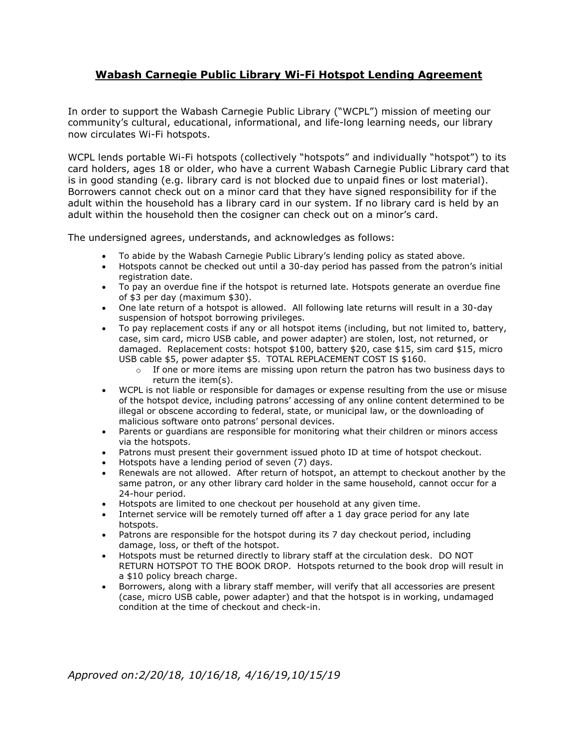## **Wabash Carnegie Public Library Wi-Fi Hotspot Lending Agreement**

In order to support the Wabash Carnegie Public Library ("WCPL") mission of meeting our community's cultural, educational, informational, and life-long learning needs, our library now circulates Wi-Fi hotspots.

WCPL lends portable Wi-Fi hotspots (collectively "hotspots" and individually "hotspot") to its card holders, ages 18 or older, who have a current Wabash Carnegie Public Library card that is in good standing (e.g. library card is not blocked due to unpaid fines or lost material). Borrowers cannot check out on a minor card that they have signed responsibility for if the adult within the household has a library card in our system. If no library card is held by an adult within the household then the cosigner can check out on a minor's card.

The undersigned agrees, understands, and acknowledges as follows:

- To abide by the Wabash Carnegie Public Library's lending policy as stated above.
- Hotspots cannot be checked out until a 30-day period has passed from the patron's initial registration date.
- To pay an overdue fine if the hotspot is returned late. Hotspots generate an overdue fine of \$3 per day (maximum \$30).
- One late return of a hotspot is allowed. All following late returns will result in a 30-day suspension of hotspot borrowing privileges.
- To pay replacement costs if any or all hotspot items (including, but not limited to, battery, case, sim card, micro USB cable, and power adapter) are stolen, lost, not returned, or damaged. Replacement costs: hotspot \$100, battery \$20, case \$15, sim card \$15, micro USB cable \$5, power adapter \$5. TOTAL REPLACEMENT COST IS \$160.
	- $\circ$  If one or more items are missing upon return the patron has two business days to return the item(s).
- WCPL is not liable or responsible for damages or expense resulting from the use or misuse of the hotspot device, including patrons' accessing of any online content determined to be illegal or obscene according to federal, state, or municipal law, or the downloading of malicious software onto patrons' personal devices.
- Parents or guardians are responsible for monitoring what their children or minors access via the hotspots.
- Patrons must present their government issued photo ID at time of hotspot checkout.
- Hotspots have a lending period of seven (7) days.
- Renewals are not allowed. After return of hotspot, an attempt to checkout another by the same patron, or any other library card holder in the same household, cannot occur for a 24-hour period.
- Hotspots are limited to one checkout per household at any given time.
- Internet service will be remotely turned off after a 1 day grace period for any late hotspots.
- Patrons are responsible for the hotspot during its 7 day checkout period, including damage, loss, or theft of the hotspot.
- Hotspots must be returned directly to library staff at the circulation desk. DO NOT RETURN HOTSPOT TO THE BOOK DROP. Hotspots returned to the book drop will result in a \$10 policy breach charge.
- Borrowers, along with a library staff member, will verify that all accessories are present (case, micro USB cable, power adapter) and that the hotspot is in working, undamaged condition at the time of checkout and check-in.

*Approved on:2/20/18, 10/16/18, 4/16/19,10/15/19*